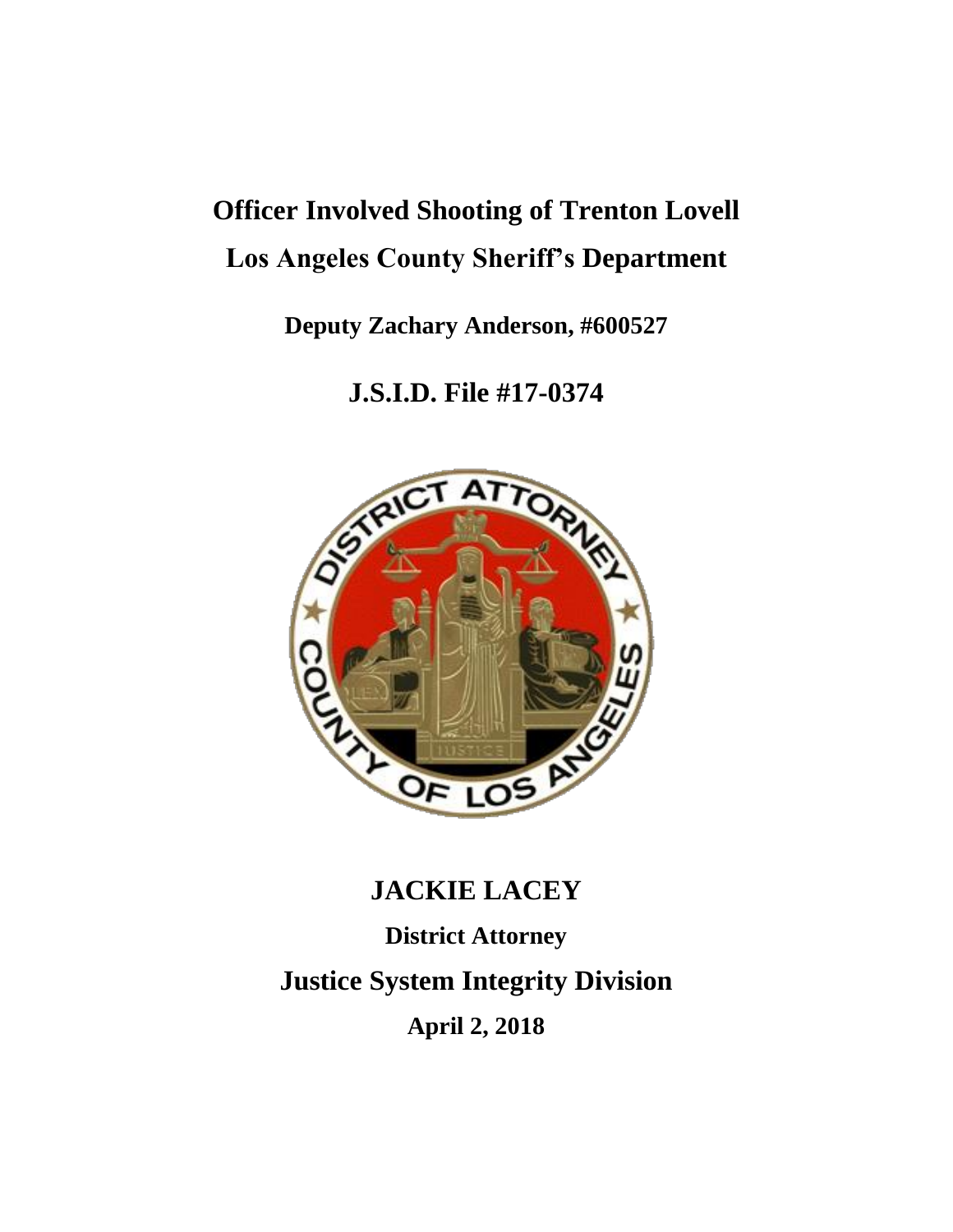# **Officer Involved Shooting of Trenton Lovell Los Angeles County Sheriff's Department**

**Deputy Zachary Anderson, #600527**

**J.S.I.D. File #17-0374**



# **JACKIE LACEY**

**District Attorney**

**Justice System Integrity Division**

**April 2, 2018**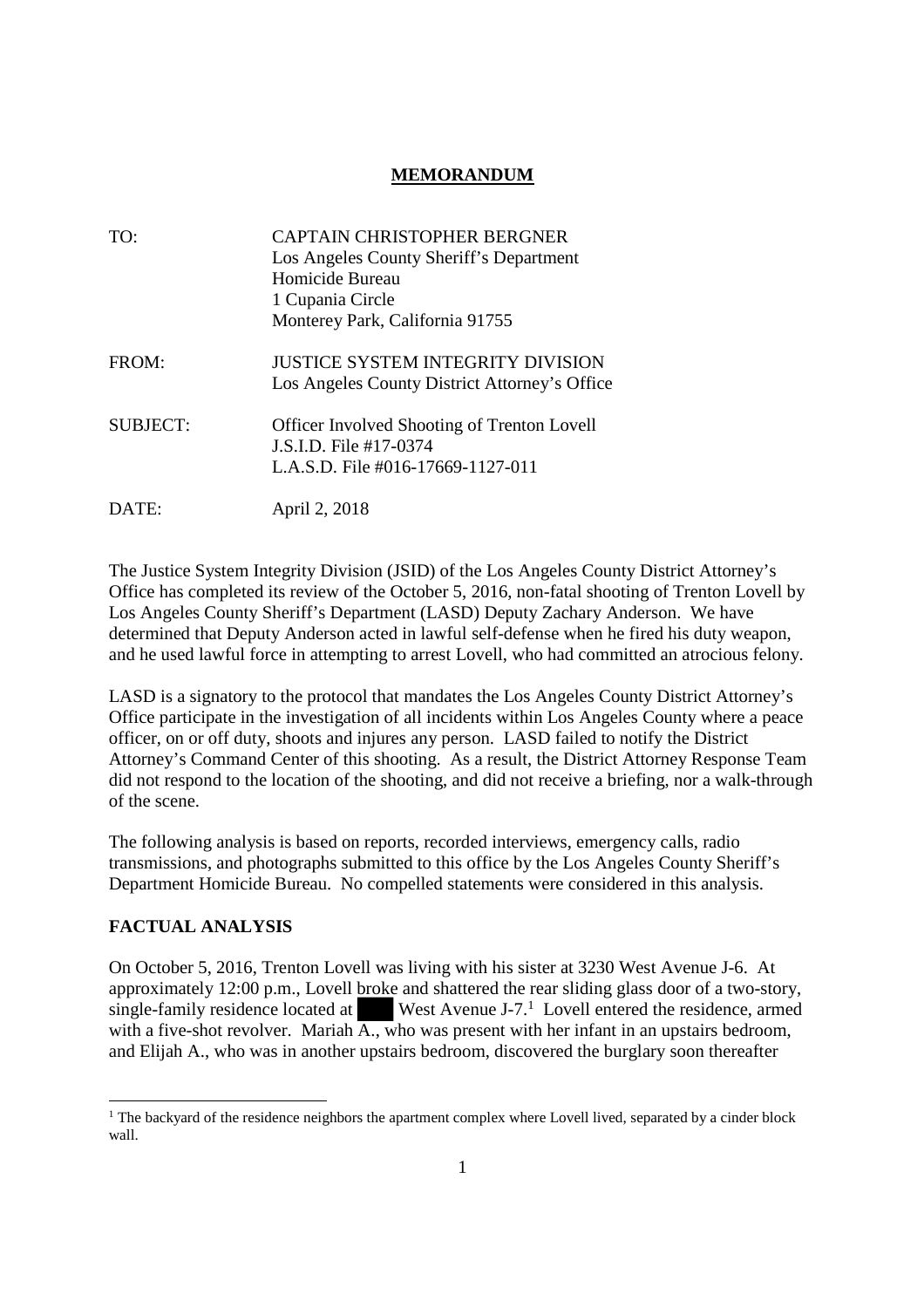# **MEMORANDUM**

| TO:             | <b>CAPTAIN CHRISTOPHER BERGNER</b>                                                  |
|-----------------|-------------------------------------------------------------------------------------|
|                 | Los Angeles County Sheriff's Department                                             |
|                 | Homicide Bureau                                                                     |
|                 | 1 Cupania Circle                                                                    |
|                 | Monterey Park, California 91755                                                     |
| FROM:           | JUSTICE SYSTEM INTEGRITY DIVISION<br>Los Angeles County District Attorney's Office  |
| <b>SUBJECT:</b> | <b>Officer Involved Shooting of Trenton Lovell</b><br><b>J.S.I.D.</b> File #17-0374 |
|                 | L.A.S.D. File #016-17669-1127-011                                                   |
| DATE:           | April 2, 2018                                                                       |

The Justice System Integrity Division (JSID) of the Los Angeles County District Attorney's Office has completed its review of the October 5, 2016, non-fatal shooting of Trenton Lovell by Los Angeles County Sheriff's Department (LASD) Deputy Zachary Anderson. We have determined that Deputy Anderson acted in lawful self-defense when he fired his duty weapon, and he used lawful force in attempting to arrest Lovell, who had committed an atrocious felony.

LASD is a signatory to the protocol that mandates the Los Angeles County District Attorney's Office participate in the investigation of all incidents within Los Angeles County where a peace officer, on or off duty, shoots and injures any person. LASD failed to notify the District Attorney's Command Center of this shooting. As a result, the District Attorney Response Team did not respond to the location of the shooting, and did not receive a briefing, nor a walk-through of the scene.

The following analysis is based on reports, recorded interviews, emergency calls, radio transmissions, and photographs submitted to this office by the Los Angeles County Sheriff's Department Homicide Bureau. No compelled statements were considered in this analysis.

# **FACTUAL ANALYSIS**

On October 5, 2016, Trenton Lovell was living with his sister at 3230 West Avenue J-6. At approximately 12:00 p.m., Lovell broke and shattered the rear sliding glass door of a two-story, single-family residence located at West Avenue J-7.<sup>1</sup> Lovell entered the residence, armed with a five-shot revolver. Mariah  $\overline{A_{n}}$  who was present with her infant in an upstairs bedroom, and Elijah A., who was in another upstairs bedroom, discovered the burglary soon thereafter

<sup>&</sup>lt;sup>1</sup> The backyard of the residence neighbors the apartment complex where Lovell lived, separated by a cinder block wall.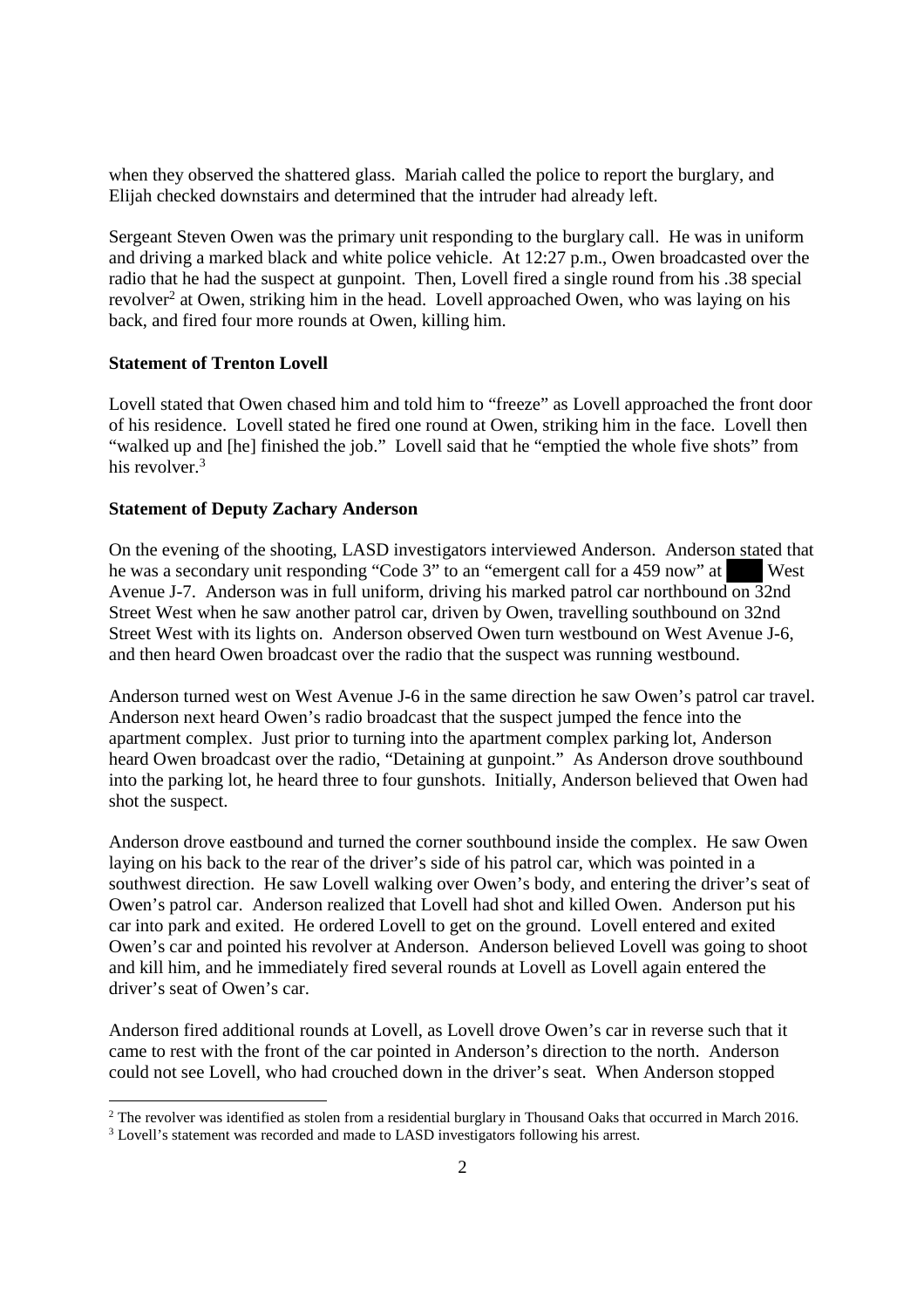when they observed the shattered glass. Mariah called the police to report the burglary, and Elijah checked downstairs and determined that the intruder had already left.

Sergeant Steven Owen was the primary unit responding to the burglary call. He was in uniform and driving a marked black and white police vehicle. At 12:27 p.m., Owen broadcasted over the radio that he had the suspect at gunpoint. Then, Lovell fired a single round from his .38 special revolver<sup>2</sup> at Owen, striking him in the head. Lovell approached Owen, who was laying on his back, and fired four more rounds at Owen, killing him.

#### **Statement of Trenton Lovell**

Lovell stated that Owen chased him and told him to "freeze" as Lovell approached the front door of his residence. Lovell stated he fired one round at Owen, striking him in the face. Lovell then "walked up and [he] finished the job." Lovell said that he "emptied the whole five shots" from his revolver.<sup>3</sup>

#### **Statement of Deputy Zachary Anderson**

On the evening of the shooting, LASD investigators interviewed Anderson. Anderson stated that he was a secondary unit responding "Code 3" to an "emergent call for a 459 now" at West Avenue J-7. Anderson was in full uniform, driving his marked patrol car northbound on 32nd Street West when he saw another patrol car, driven by Owen, travelling southbound on 32nd Street West with its lights on. Anderson observed Owen turn westbound on West Avenue J-6, and then heard Owen broadcast over the radio that the suspect was running westbound.

Anderson turned west on West Avenue J-6 in the same direction he saw Owen's patrol car travel. Anderson next heard Owen's radio broadcast that the suspect jumped the fence into the apartment complex. Just prior to turning into the apartment complex parking lot, Anderson heard Owen broadcast over the radio, "Detaining at gunpoint." As Anderson drove southbound into the parking lot, he heard three to four gunshots. Initially, Anderson believed that Owen had shot the suspect.

Anderson drove eastbound and turned the corner southbound inside the complex. He saw Owen laying on his back to the rear of the driver's side of his patrol car, which was pointed in a southwest direction. He saw Lovell walking over Owen's body, and entering the driver's seat of Owen's patrol car. Anderson realized that Lovell had shot and killed Owen. Anderson put his car into park and exited. He ordered Lovell to get on the ground. Lovell entered and exited Owen's car and pointed his revolver at Anderson. Anderson believed Lovell was going to shoot and kill him, and he immediately fired several rounds at Lovell as Lovell again entered the driver's seat of Owen's car.

Anderson fired additional rounds at Lovell, as Lovell drove Owen's car in reverse such that it came to rest with the front of the car pointed in Anderson's direction to the north. Anderson could not see Lovell, who had crouched down in the driver's seat. When Anderson stopped

<sup>&</sup>lt;sup>2</sup> The revolver was identified as stolen from a residential burglary in Thousand Oaks that occurred in March 2016.

<sup>&</sup>lt;sup>3</sup> Lovell's statement was recorded and made to LASD investigators following his arrest.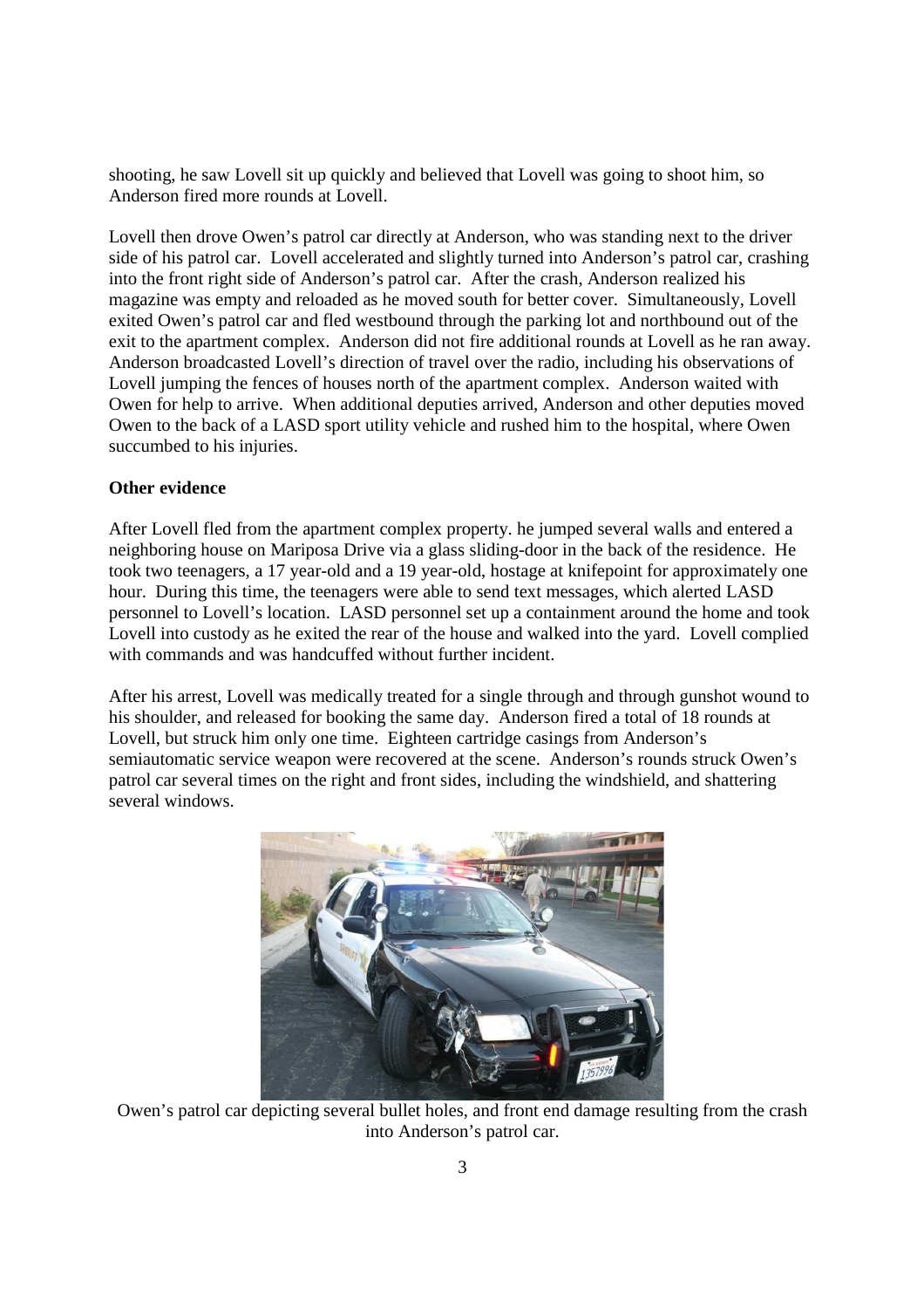shooting, he saw Lovell sit up quickly and believed that Lovell was going to shoot him, so Anderson fired more rounds at Lovell.

Lovell then drove Owen's patrol car directly at Anderson, who was standing next to the driver side of his patrol car. Lovell accelerated and slightly turned into Anderson's patrol car, crashing into the front right side of Anderson's patrol car. After the crash, Anderson realized his magazine was empty and reloaded as he moved south for better cover. Simultaneously, Lovell exited Owen's patrol car and fled westbound through the parking lot and northbound out of the exit to the apartment complex. Anderson did not fire additional rounds at Lovell as he ran away. Anderson broadcasted Lovell's direction of travel over the radio, including his observations of Lovell jumping the fences of houses north of the apartment complex. Anderson waited with Owen for help to arrive. When additional deputies arrived, Anderson and other deputies moved Owen to the back of a LASD sport utility vehicle and rushed him to the hospital, where Owen succumbed to his injuries.

### **Other evidence**

After Lovell fled from the apartment complex property. he jumped several walls and entered a neighboring house on Mariposa Drive via a glass sliding-door in the back of the residence. He took two teenagers, a 17 year-old and a 19 year-old, hostage at knifepoint for approximately one hour. During this time, the teenagers were able to send text messages, which alerted LASD personnel to Lovell's location. LASD personnel set up a containment around the home and took Lovell into custody as he exited the rear of the house and walked into the yard. Lovell complied with commands and was handcuffed without further incident.

After his arrest, Lovell was medically treated for a single through and through gunshot wound to his shoulder, and released for booking the same day. Anderson fired a total of 18 rounds at Lovell, but struck him only one time. Eighteen cartridge casings from Anderson's semiautomatic service weapon were recovered at the scene. Anderson's rounds struck Owen's patrol car several times on the right and front sides, including the windshield, and shattering several windows.



Owen's patrol car depicting several bullet holes, and front end damage resulting from the crash into Anderson's patrol car.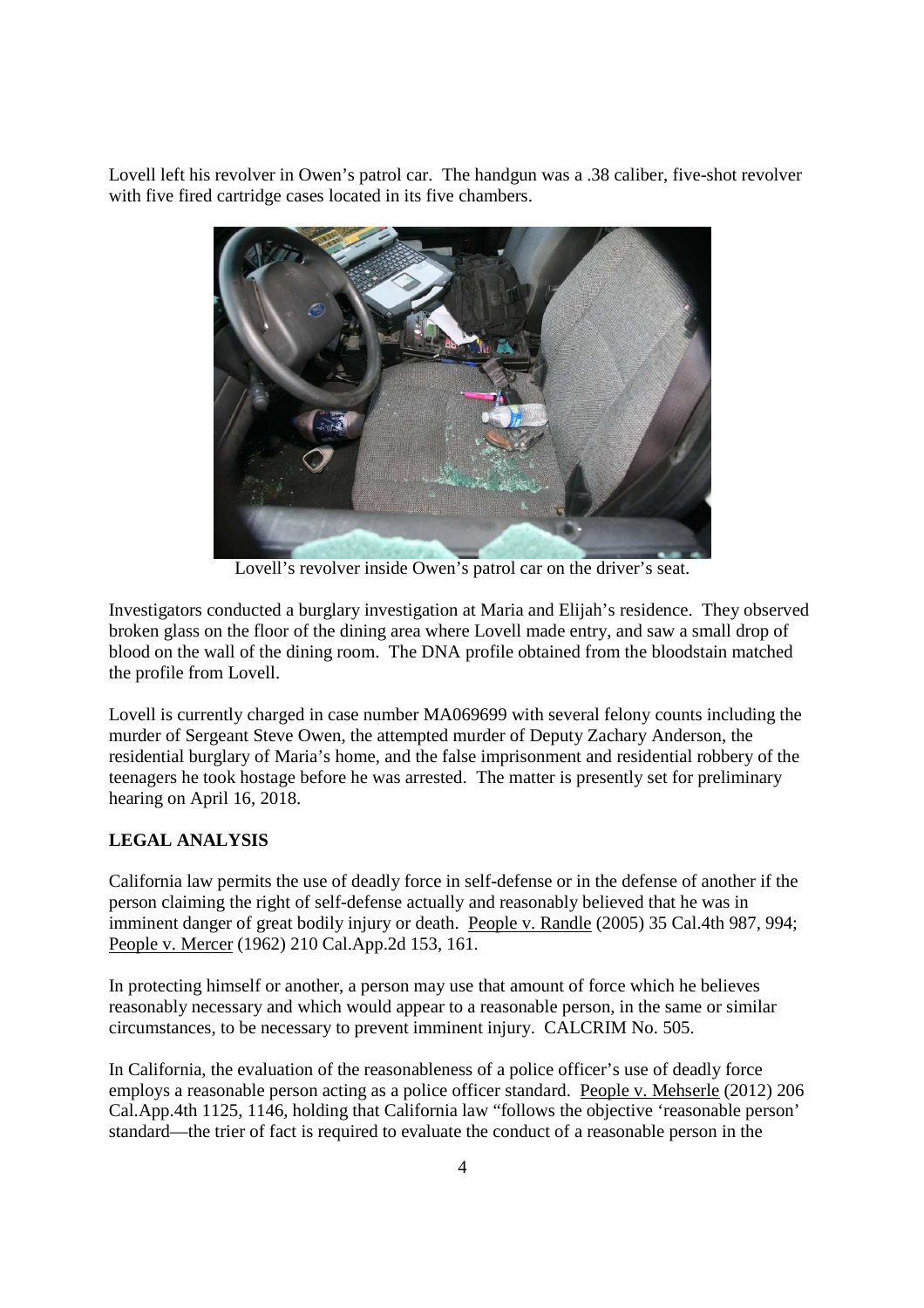Lovell left his revolver in Owen's patrol car. The handgun was a .38 caliber, five-shot revolver with five fired cartridge cases located in its five chambers.



Lovell's revolver inside Owen's patrol car on the driver's seat.

Investigators conducted a burglary investigation at Maria and Elijah's residence. They observed broken glass on the floor of the dining area where Lovell made entry, and saw a small drop of blood on the wall of the dining room. The DNA profile obtained from the bloodstain matched the profile from Lovell.

Lovell is currently charged in case number MA069699 with several felony counts including the murder of Sergeant Steve Owen, the attempted murder of Deputy Zachary Anderson, the residential burglary of Maria's home, and the false imprisonment and residential robbery of the teenagers he took hostage before he was arrested. The matter is presently set for preliminary hearing on April 16, 2018.

# **LEGAL ANALYSIS**

California law permits the use of deadly force in self-defense or in the defense of another if the person claiming the right of self-defense actually and reasonably believed that he was in imminent danger of great bodily injury or death. People v. Randle (2005) 35 Cal.4th 987, 994; People v. Mercer (1962) 210 Cal.App.2d 153, 161.

In protecting himself or another, a person may use that amount of force which he believes reasonably necessary and which would appear to a reasonable person, in the same or similar circumstances, to be necessary to prevent imminent injury. CALCRIM No. 505.

In California, the evaluation of the reasonableness of a police officer's use of deadly force employs a reasonable person acting as a police officer standard. People v. Mehserle (2012) 206 Cal.App.4th 1125, 1146, holding that California law "follows the objective 'reasonable person' standard—the trier of fact is required to evaluate the conduct of a reasonable person in the